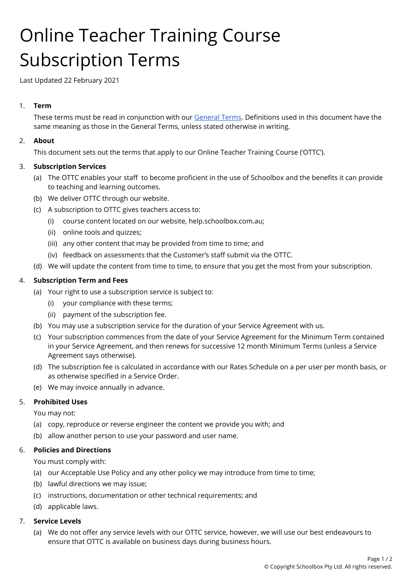# Online Teacher Training Course Subscription Terms

Last Updated 22 February 2021

# 1. **Term**

These terms must be read in conjunction with our [General](https://schoolbox.com.au/legal/general-terms) Terms. Definitions used in this document have the same meaning as those in the General Terms, unless stated otherwise in writing.

# 2. **About**

This document sets out the terms that apply to our Online Teacher Training Course ('OTTC').

# 3. **Subscription Services**

- (a) The OTTC enables your staff to become proficient in the use of Schoolbox and the benefits it can provide to teaching and learning outcomes.
- (b) We deliver OTTC through our website.
- (c) A subscription to OTTC gives teachers access to:
	- (i) course content located on our website, help.schoolbox.com.au;
	- (ii) online tools and quizzes;
	- (iii) any other content that may be provided from time to time; and
	- (iv) feedback on assessments that the Customer's staff submit via the OTTC.
- (d) We will update the content from time to time, to ensure that you get the most from your subscription.

# 4. **Subscription Term and Fees**

- (a) Your right to use a subscription service is subject to:
	- (i) your compliance with these terms;
	- (ii) payment of the subscription fee.
- (b) You may use a subscription service for the duration of your Service Agreement with us.
- (c) Your subscription commences from the date of your Service Agreement for the Minimum Term contained in your Service Agreement, and then renews for successive 12 month Minimum Terms (unless a Service Agreement says otherwise).
- (d) The subscription fee is calculated in accordance with our Rates Schedule on a per user per month basis, or as otherwise specified in a Service Order.
- (e) We may invoice annually in advance.

# 5. **Prohibited Uses**

You may not:

- (a) copy, reproduce or reverse engineer the content we provide you with; and
- (b) allow another person to use your password and user name.

## 6. **Policies and Directions**

You must comply with:

- (a) our Acceptable Use Policy and any other policy we may introduce from time to time;
- (b) lawful directions we may issue;
- (c) instructions, documentation or other technical requirements; and
- (d) applicable laws.

## 7. **Service Levels**

(a) We do not offer any service levels with our OTTC service, however, we will use our best endeavours to ensure that OTTC is available on business days during business hours.